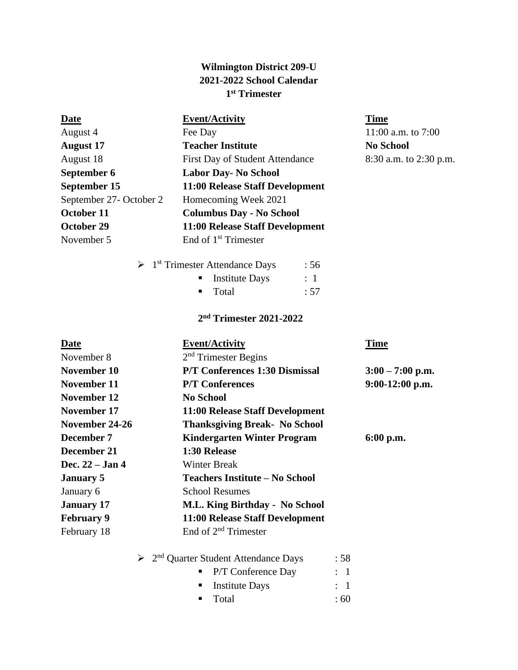# **Wilmington District 209-U 2021-2022 School Calendar 1 st Trimester**

## **Date Event/Activity Time**

Fee Day 11:00 a.m. to 7:00 **August 17 Teacher Institute No School** First Day of Student Attendance 8:30 a.m. to 2:30 p.m. **Labor Day-** No School **11:00 Release Staff Development** 2 Homecoming Week 2021 **October 11 Columbus Day - No School October 29 11:00 Release Staff Development** End of  $1<sup>st</sup>$  Trimester

| $\triangleright$ 1 <sup>st</sup> Trimester Attendance Days |                               | :56            |
|------------------------------------------------------------|-------------------------------|----------------|
|                                                            | $\blacksquare$ Institute Days | $\therefore$ 1 |
|                                                            | ■ Total                       | : 57           |
|                                                            |                               |                |

## **2 nd Trimester 2021-2022**

| <b>Date</b>       | <b>Event/Activity</b>                           | <b>Time</b>        |
|-------------------|-------------------------------------------------|--------------------|
| November 8        | $2nd$ Trimester Begins                          |                    |
| November 10       | P/T Conferences 1:30 Dismissal                  | $3:00 - 7:00$ p.m. |
| November 11       | <b>P/T</b> Conferences                          | $9:00-12:00$ p.m.  |
| November 12       | <b>No School</b>                                |                    |
| November 17       | 11:00 Release Staff Development                 |                    |
| November 24-26    | <b>Thanksgiving Break- No School</b>            |                    |
| December 7        | <b>Kindergarten Winter Program</b>              | $6:00$ p.m.        |
| December 21       | 1:30 Release                                    |                    |
| Dec. $22 - Jan 4$ | <b>Winter Break</b>                             |                    |
| <b>January 5</b>  | <b>Teachers Institute – No School</b>           |                    |
| January 6         | <b>School Resumes</b>                           |                    |
| <b>January</b> 17 | M.L. King Birthday - No School                  |                    |
| <b>February 9</b> | 11:00 Release Staff Development                 |                    |
| February 18       | End of $2nd$ Trimester                          |                    |
|                   | 2 <sup>nd</sup> Quarter Student Attendance Days | : 58               |

■ P/T Conference Day : 1 ■ Institute Days : 1  $\blacksquare$  Total : 60